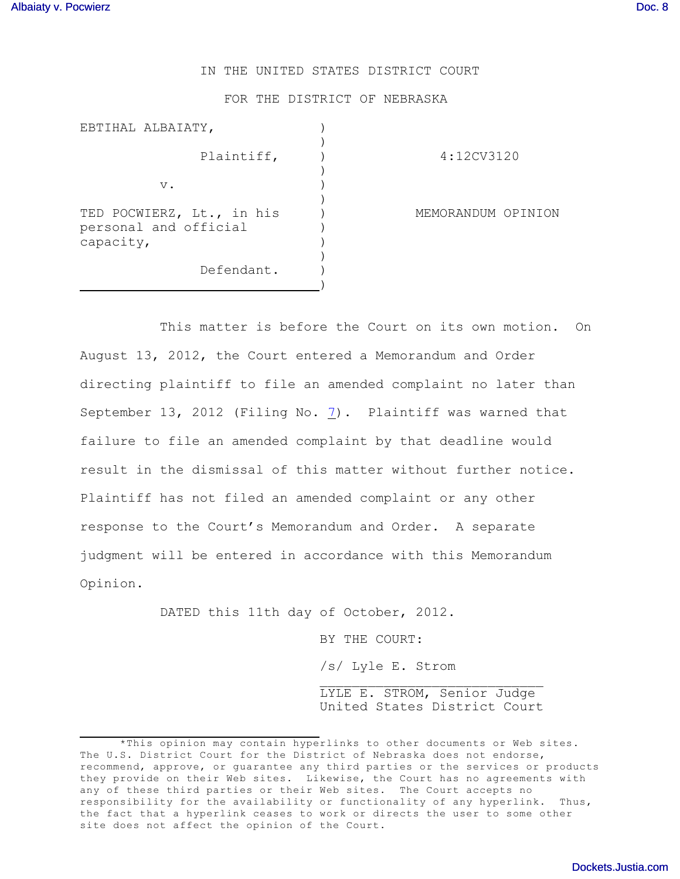## IN THE UNITED STATES DISTRICT COURT

FOR THE DISTRICT OF NEBRASKA

| EBTIHAL ALBAIATY,                                               |                    |
|-----------------------------------------------------------------|--------------------|
| Plaintiff,                                                      | 4:12CV3120         |
| v.                                                              |                    |
| TED POCWIERZ, Lt., in his<br>personal and official<br>capacity, | MEMORANDUM OPINION |
| Defendant.                                                      |                    |

This matter is before the Court on its own motion. On August 13, 2012, the Court entered a Memorandum and Order directing plaintiff to file an amended complaint no later than September 13, 2012 (Filing No. [7](http://ecf.ned.uscourts.gov/doc1/11302583573)). Plaintiff was warned that failure to file an amended complaint by that deadline would result in the dismissal of this matter without further notice. Plaintiff has not filed an amended complaint or any other response to the Court's Memorandum and Order. A separate judgment will be entered in accordance with this Memorandum Opinion.

DATED this 11th day of October, 2012.

BY THE COURT:

/s/ Lyle E. Strom

 $\mathcal{L}_\text{max}$ LYLE E. STROM, Senior Judge United States District Court

<sup>\*</sup>This opinion may contain hyperlinks to other documents or Web sites. The U.S. District Court for the District of Nebraska does not endorse, recommend, approve, or guarantee any third parties or the services or products they provide on their Web sites. Likewise, the Court has no agreements with any of these third parties or their Web sites. The Court accepts no responsibility for the availability or functionality of any hyperlink. Thus, the fact that a hyperlink ceases to work or directs the user to some other site does not affect the opinion of the Court.